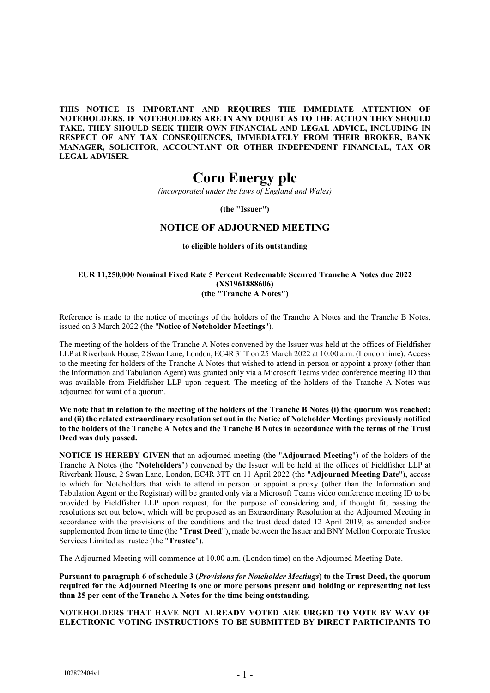**THIS NOTICE IS IMPORTANT AND REQUIRES THE IMMEDIATE ATTENTION OF NOTEHOLDERS. IF NOTEHOLDERS ARE IN ANY DOUBT AS TO THE ACTION THEY SHOULD TAKE, THEY SHOULD SEEK THEIR OWN FINANCIAL AND LEGAL ADVICE, INCLUDING IN RESPECT OF ANY TAX CONSEQUENCES, IMMEDIATELY FROM THEIR BROKER, BANK MANAGER, SOLICITOR, ACCOUNTANT OR OTHER INDEPENDENT FINANCIAL, TAX OR LEGAL ADVISER.**

# **Coro Energy plc**

*(incorporated under the laws of England and Wales)*

**(the "Issuer")**

# **NOTICE OF ADJOURNED MEETING**

### **to eligible holders of its outstanding**

### **EUR 11,250,000 Nominal Fixed Rate 5 Percent Redeemable Secured Tranche A Notes due 2022 (XS1961888606) (the "Tranche A Notes")**

Reference is made to the notice of meetings of the holders of the Tranche A Notes and the Tranche B Notes, issued on 3 March 2022 (the "**Notice of Noteholder Meetings**").

The meeting of the holders of the Tranche A Notes convened by the Issuer was held at the offices of Fieldfisher LLP at Riverbank House, 2 Swan Lane, London, EC4R 3TT on 25 March 2022 at 10.00 a.m. (London time). Access to the meeting for holders of the Tranche A Notes that wished to attend in person or appoint a proxy (other than the Information and Tabulation Agent) was granted only via a Microsoft Teams video conference meeting ID that was available from Fieldfisher LLP upon request. The meeting of the holders of the Tranche A Notes was adjourned for want of a quorum.

**We note that in relation to the meeting of the holders of the Tranche B Notes (i) the quorum was reached; and (ii) the related extraordinary resolution set out in the Notice of Noteholder Meetings previously notified to the holders of the Tranche A Notes and the Tranche B Notes in accordance with the terms of the Trust Deed was duly passed.** 

**NOTICE IS HEREBY GIVEN** that an adjourned meeting (the "**Adjourned Meeting**") of the holders of the Tranche A Notes (the "**Noteholders**") convened by the Issuer will be held at the offices of Fieldfisher LLP at Riverbank House, 2 Swan Lane, London, EC4R 3TT on 11 April 2022 (the "**Adjourned Meeting Date**"), access to which for Noteholders that wish to attend in person or appoint a proxy (other than the Information and Tabulation Agent or the Registrar) will be granted only via a Microsoft Teams video conference meeting ID to be provided by Fieldfisher LLP upon request, for the purpose of considering and, if thought fit, passing the resolutions set out below, which will be proposed as an Extraordinary Resolution at the Adjourned Meeting in accordance with the provisions of the conditions and the trust deed dated 12 April 2019, as amended and/or supplemented from time to time (the "**Trust Deed**"), made between the Issuer and BNY Mellon Corporate Trustee Services Limited as trustee (the "**Trustee**").

The Adjourned Meeting will commence at 10.00 a.m. (London time) on the Adjourned Meeting Date.

**Pursuant to paragraph 6 of schedule 3 (***Provisions for Noteholder Meetings***) to the Trust Deed, the quorum required for the Adjourned Meeting is one or more persons present and holding or representing not less than 25 per cent of the Tranche A Notes for the time being outstanding.** 

# **NOTEHOLDERS THAT HAVE NOT ALREADY VOTED ARE URGED TO VOTE BY WAY OF ELECTRONIC VOTING INSTRUCTIONS TO BE SUBMITTED BY DIRECT PARTICIPANTS TO**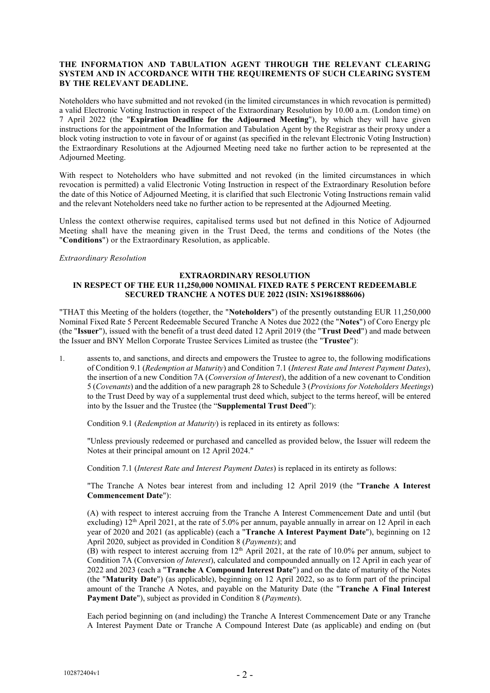## **THE INFORMATION AND TABULATION AGENT THROUGH THE RELEVANT CLEARING SYSTEM AND IN ACCORDANCE WITH THE REQUIREMENTS OF SUCH CLEARING SYSTEM BY THE RELEVANT DEADLINE.**

Noteholders who have submitted and not revoked (in the limited circumstances in which revocation is permitted) a valid Electronic Voting Instruction in respect of the Extraordinary Resolution by 10.00 a.m. (London time) on 7 April 2022 (the "**Expiration Deadline for the Adjourned Meeting**"), by which they will have given instructions for the appointment of the Information and Tabulation Agent by the Registrar as their proxy under a block voting instruction to vote in favour of or against (as specified in the relevant Electronic Voting Instruction) the Extraordinary Resolutions at the Adjourned Meeting need take no further action to be represented at the Adjourned Meeting.

With respect to Noteholders who have submitted and not revoked (in the limited circumstances in which revocation is permitted) a valid Electronic Voting Instruction in respect of the Extraordinary Resolution before the date of this Notice of Adjourned Meeting, it is clarified that such Electronic Voting Instructions remain valid and the relevant Noteholders need take no further action to be represented at the Adjourned Meeting.

Unless the context otherwise requires, capitalised terms used but not defined in this Notice of Adjourned Meeting shall have the meaning given in the Trust Deed, the terms and conditions of the Notes (the "**Conditions**") or the Extraordinary Resolution, as applicable.

### *Extraordinary Resolution*

# **EXTRAORDINARY RESOLUTION IN RESPECT OF THE EUR 11,250,000 NOMINAL FIXED RATE 5 PERCENT REDEEMABLE SECURED TRANCHE A NOTES DUE 2022 (ISIN: XS1961888606)**

"THAT this Meeting of the holders (together, the "**Noteholders**") of the presently outstanding EUR 11,250,000 Nominal Fixed Rate 5 Percent Redeemable Secured Tranche A Notes due 2022 (the "**Notes**") of Coro Energy plc (the "**Issuer**"), issued with the benefit of a trust deed dated 12 April 2019 (the "**Trust Deed**") and made between the Issuer and BNY Mellon Corporate Trustee Services Limited as trustee (the "**Trustee**"):

1. assents to, and sanctions, and directs and empowers the Trustee to agree to, the following modifications of Condition 9.1 (*Redemption at Maturity*) and Condition 7.1 (*Interest Rate and Interest Payment Dates*), the insertion of a new Condition 7A (*Conversion of Interest*), the addition of a new covenant to Condition 5 (*Covenants*) and the addition of a new paragraph 28 to Schedule 3 (*Provisions for Noteholders Meetings*) to the Trust Deed by way of a supplemental trust deed which, subject to the terms hereof, will be entered into by the Issuer and the Trustee (the "**Supplemental Trust Deed**"):

Condition 9.1 (*Redemption at Maturity*) is replaced in its entirety as follows:

"Unless previously redeemed or purchased and cancelled as provided below, the Issuer will redeem the Notes at their principal amount on 12 April 2024."

Condition 7.1 (*Interest Rate and Interest Payment Dates*) is replaced in its entirety as follows:

"The Tranche A Notes bear interest from and including 12 April 2019 (the "**Tranche A Interest Commencement Date**"):

(A) with respect to interest accruing from the Tranche A Interest Commencement Date and until (but excluding) 12th April 2021, at the rate of 5.0% per annum, payable annually in arrear on 12 April in each year of 2020 and 2021 (as applicable) (each a "**Tranche A Interest Payment Date**"), beginning on 12 April 2020, subject as provided in Condition 8 (*Payments*); and

(B) with respect to interest accruing from  $12<sup>th</sup>$  April 2021, at the rate of 10.0% per annum, subject to Condition 7A (Conversion *of Interest*), calculated and compounded annually on 12 April in each year of 2022 and 2023 (each a "**Tranche A Compound Interest Date**") and on the date of maturity of the Notes (the "**Maturity Date**") (as applicable), beginning on 12 April 2022, so as to form part of the principal amount of the Tranche A Notes, and payable on the Maturity Date (the "**Tranche A Final Interest Payment Date**"), subject as provided in Condition 8 (*Payments*).

Each period beginning on (and including) the Tranche A Interest Commencement Date or any Tranche A Interest Payment Date or Tranche A Compound Interest Date (as applicable) and ending on (but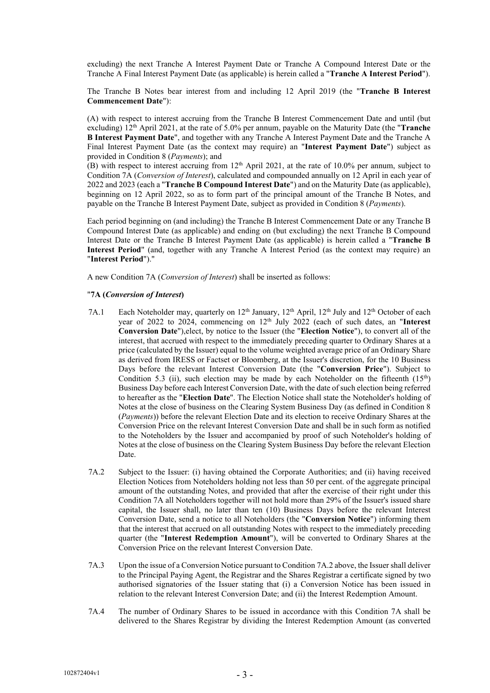excluding) the next Tranche A Interest Payment Date or Tranche A Compound Interest Date or the Tranche A Final Interest Payment Date (as applicable) is herein called a "**Tranche A Interest Period**").

The Tranche B Notes bear interest from and including 12 April 2019 (the "**Tranche B Interest Commencement Date**"):

(A) with respect to interest accruing from the Tranche B Interest Commencement Date and until (but excluding) 12th April 2021, at the rate of 5.0% per annum, payable on the Maturity Date (the "**Tranche B Interest Payment Date**", and together with any Tranche A Interest Payment Date and the Tranche A Final Interest Payment Date (as the context may require) an "**Interest Payment Date**") subject as provided in Condition 8 (*Payments*); and

(B) with respect to interest accruing from 12<sup>th</sup> April 2021, at the rate of 10.0% per annum, subject to Condition 7A (*Conversion of Interest*), calculated and compounded annually on 12 April in each year of 2022 and 2023 (each a "**Tranche B Compound Interest Date**") and on the Maturity Date (as applicable), beginning on 12 April 2022, so as to form part of the principal amount of the Tranche B Notes, and payable on the Tranche B Interest Payment Date, subject as provided in Condition 8 (*Payments*).

Each period beginning on (and including) the Tranche B Interest Commencement Date or any Tranche B Compound Interest Date (as applicable) and ending on (but excluding) the next Tranche B Compound Interest Date or the Tranche B Interest Payment Date (as applicable) is herein called a "**Tranche B Interest Period**" (and, together with any Tranche A Interest Period (as the context may require) an "**Interest Period**")."

A new Condition 7A (*Conversion of Interest*) shall be inserted as follows:

### "**7A (***Conversion of Interest***)**

- 7A.1 Each Noteholder may, quarterly on  $12<sup>th</sup>$  January,  $12<sup>th</sup>$  April,  $12<sup>th</sup>$  July and  $12<sup>th</sup>$  October of each year of 2022 to 2024, commencing on 12th July 2022 (each of such dates, an "**Interest Conversion Date**"),elect, by notice to the Issuer (the "**Election Notice**"), to convert all of the interest, that accrued with respect to the immediately preceding quarter to Ordinary Shares at a price (calculated by the Issuer) equal to the volume weighted average price of an Ordinary Share as derived from IRESS or Factset or Bloomberg, at the Issuer's discretion, for the 10 Business Days before the relevant Interest Conversion Date (the "**Conversion Price**"). Subject to Condition 5.3 (ii), such election may be made by each Noteholder on the fifteenth  $(15<sup>th</sup>)$ Business Day before each Interest Conversion Date, with the date of such election being referred to hereafter as the "**Election Date**". The Election Notice shall state the Noteholder's holding of Notes at the close of business on the Clearing System Business Day (as defined in Condition 8 (*Payments*)) before the relevant Election Date and its election to receive Ordinary Shares at the Conversion Price on the relevant Interest Conversion Date and shall be in such form as notified to the Noteholders by the Issuer and accompanied by proof of such Noteholder's holding of Notes at the close of business on the Clearing System Business Day before the relevant Election Date.
- 7A.2 Subject to the Issuer: (i) having obtained the Corporate Authorities; and (ii) having received Election Notices from Noteholders holding not less than 50 per cent. of the aggregate principal amount of the outstanding Notes, and provided that after the exercise of their right under this Condition 7A all Noteholders together will not hold more than 29% of the Issuer's issued share capital, the Issuer shall, no later than ten (10) Business Days before the relevant Interest Conversion Date, send a notice to all Noteholders (the "**Conversion Notice**") informing them that the interest that accrued on all outstanding Notes with respect to the immediately preceding quarter (the "**Interest Redemption Amount**"), will be converted to Ordinary Shares at the Conversion Price on the relevant Interest Conversion Date.
- 7A.3 Upon the issue of a Conversion Notice pursuant to Condition 7A.2 above, the Issuer shall deliver to the Principal Paying Agent, the Registrar and the Shares Registrar a certificate signed by two authorised signatories of the Issuer stating that (i) a Conversion Notice has been issued in relation to the relevant Interest Conversion Date; and (ii) the Interest Redemption Amount.
- 7A.4 The number of Ordinary Shares to be issued in accordance with this Condition 7A shall be delivered to the Shares Registrar by dividing the Interest Redemption Amount (as converted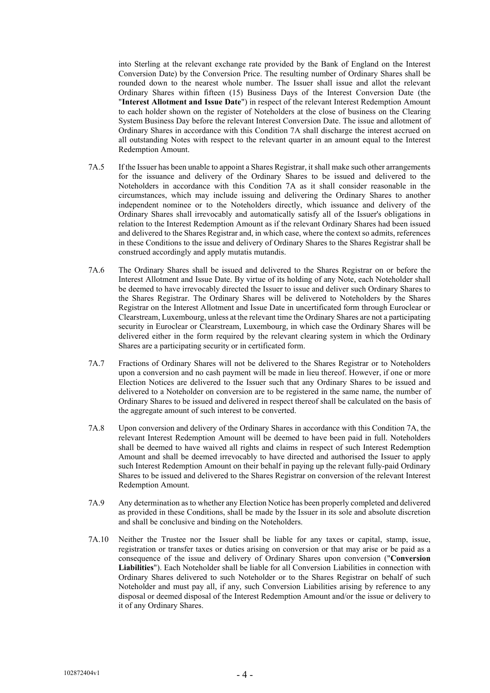into Sterling at the relevant exchange rate provided by the Bank of England on the Interest Conversion Date) by the Conversion Price. The resulting number of Ordinary Shares shall be rounded down to the nearest whole number. The Issuer shall issue and allot the relevant Ordinary Shares within fifteen (15) Business Days of the Interest Conversion Date (the "**Interest Allotment and Issue Date**") in respect of the relevant Interest Redemption Amount to each holder shown on the register of Noteholders at the close of business on the Clearing System Business Day before the relevant Interest Conversion Date. The issue and allotment of Ordinary Shares in accordance with this Condition 7A shall discharge the interest accrued on all outstanding Notes with respect to the relevant quarter in an amount equal to the Interest Redemption Amount.

- 7A.5 If the Issuer has been unable to appoint a Shares Registrar, it shall make such other arrangements for the issuance and delivery of the Ordinary Shares to be issued and delivered to the Noteholders in accordance with this Condition 7A as it shall consider reasonable in the circumstances, which may include issuing and delivering the Ordinary Shares to another independent nominee or to the Noteholders directly, which issuance and delivery of the Ordinary Shares shall irrevocably and automatically satisfy all of the Issuer's obligations in relation to the Interest Redemption Amount as if the relevant Ordinary Shares had been issued and delivered to the Shares Registrar and, in which case, where the context so admits, references in these Conditions to the issue and delivery of Ordinary Shares to the Shares Registrar shall be construed accordingly and apply mutatis mutandis.
- 7A.6 The Ordinary Shares shall be issued and delivered to the Shares Registrar on or before the Interest Allotment and Issue Date. By virtue of its holding of any Note, each Noteholder shall be deemed to have irrevocably directed the Issuer to issue and deliver such Ordinary Shares to the Shares Registrar. The Ordinary Shares will be delivered to Noteholders by the Shares Registrar on the Interest Allotment and Issue Date in uncertificated form through Euroclear or Clearstream, Luxembourg, unless at the relevant time the Ordinary Shares are not a participating security in Euroclear or Clearstream, Luxembourg, in which case the Ordinary Shares will be delivered either in the form required by the relevant clearing system in which the Ordinary Shares are a participating security or in certificated form.
- 7A.7 Fractions of Ordinary Shares will not be delivered to the Shares Registrar or to Noteholders upon a conversion and no cash payment will be made in lieu thereof. However, if one or more Election Notices are delivered to the Issuer such that any Ordinary Shares to be issued and delivered to a Noteholder on conversion are to be registered in the same name, the number of Ordinary Shares to be issued and delivered in respect thereof shall be calculated on the basis of the aggregate amount of such interest to be converted.
- 7A.8 Upon conversion and delivery of the Ordinary Shares in accordance with this Condition 7A, the relevant Interest Redemption Amount will be deemed to have been paid in full. Noteholders shall be deemed to have waived all rights and claims in respect of such Interest Redemption Amount and shall be deemed irrevocably to have directed and authorised the Issuer to apply such Interest Redemption Amount on their behalf in paying up the relevant fully-paid Ordinary Shares to be issued and delivered to the Shares Registrar on conversion of the relevant Interest Redemption Amount.
- 7A.9 Any determination asto whether any Election Notice has been properly completed and delivered as provided in these Conditions, shall be made by the Issuer in its sole and absolute discretion and shall be conclusive and binding on the Noteholders.
- 7A.10 Neither the Trustee nor the Issuer shall be liable for any taxes or capital, stamp, issue, registration or transfer taxes or duties arising on conversion or that may arise or be paid as a consequence of the issue and delivery of Ordinary Shares upon conversion ("**Conversion Liabilities**"). Each Noteholder shall be liable for all Conversion Liabilities in connection with Ordinary Shares delivered to such Noteholder or to the Shares Registrar on behalf of such Noteholder and must pay all, if any, such Conversion Liabilities arising by reference to any disposal or deemed disposal of the Interest Redemption Amount and/or the issue or delivery to it of any Ordinary Shares.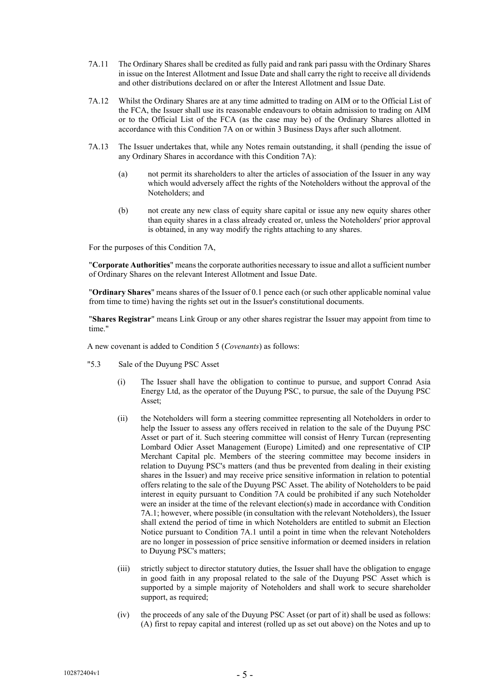- 7A.11 The Ordinary Shares shall be credited as fully paid and rank pari passu with the Ordinary Shares in issue on the Interest Allotment and Issue Date and shall carry the right to receive all dividends and other distributions declared on or after the Interest Allotment and Issue Date.
- 7A.12 Whilst the Ordinary Shares are at any time admitted to trading on AIM or to the Official List of the FCA, the Issuer shall use its reasonable endeavours to obtain admission to trading on AIM or to the Official List of the FCA (as the case may be) of the Ordinary Shares allotted in accordance with this Condition 7A on or within 3 Business Days after such allotment.
- 7A.13 The Issuer undertakes that, while any Notes remain outstanding, it shall (pending the issue of any Ordinary Shares in accordance with this Condition 7A):
	- (a) not permit its shareholders to alter the articles of association of the Issuer in any way which would adversely affect the rights of the Noteholders without the approval of the Noteholders; and
	- (b) not create any new class of equity share capital or issue any new equity shares other than equity shares in a class already created or, unless the Noteholders' prior approval is obtained, in any way modify the rights attaching to any shares.

For the purposes of this Condition 7A,

"**Corporate Authorities**" means the corporate authorities necessary to issue and allot a sufficient number of Ordinary Shares on the relevant Interest Allotment and Issue Date.

"**Ordinary Shares**" means shares of the Issuer of 0.1 pence each (or such other applicable nominal value from time to time) having the rights set out in the Issuer's constitutional documents.

"**Shares Registrar**" means Link Group or any other shares registrar the Issuer may appoint from time to time."

A new covenant is added to Condition 5 (*Covenants*) as follows:

- "5.3 Sale of the Duyung PSC Asset
	- (i) The Issuer shall have the obligation to continue to pursue, and support Conrad Asia Energy Ltd, as the operator of the Duyung PSC, to pursue, the sale of the Duyung PSC Asset;
	- (ii) the Noteholders will form a steering committee representing all Noteholders in order to help the Issuer to assess any offers received in relation to the sale of the Duyung PSC Asset or part of it. Such steering committee will consist of Henry Turcan (representing Lombard Odier Asset Management (Europe) Limited) and one representative of CIP Merchant Capital plc. Members of the steering committee may become insiders in relation to Duyung PSC's matters (and thus be prevented from dealing in their existing shares in the Issuer) and may receive price sensitive information in relation to potential offers relating to the sale of the Duyung PSC Asset. The ability of Noteholders to be paid interest in equity pursuant to Condition 7A could be prohibited if any such Noteholder were an insider at the time of the relevant election(s) made in accordance with Condition 7A.1; however, where possible (in consultation with the relevant Noteholders), the Issuer shall extend the period of time in which Noteholders are entitled to submit an Election Notice pursuant to Condition 7A.1 until a point in time when the relevant Noteholders are no longer in possession of price sensitive information or deemed insiders in relation to Duyung PSC's matters;
	- (iii) strictly subject to director statutory duties, the Issuer shall have the obligation to engage in good faith in any proposal related to the sale of the Duyung PSC Asset which is supported by a simple majority of Noteholders and shall work to secure shareholder support, as required;
	- (iv) the proceeds of any sale of the Duyung PSC Asset (or part of it) shall be used as follows: (A) first to repay capital and interest (rolled up as set out above) on the Notes and up to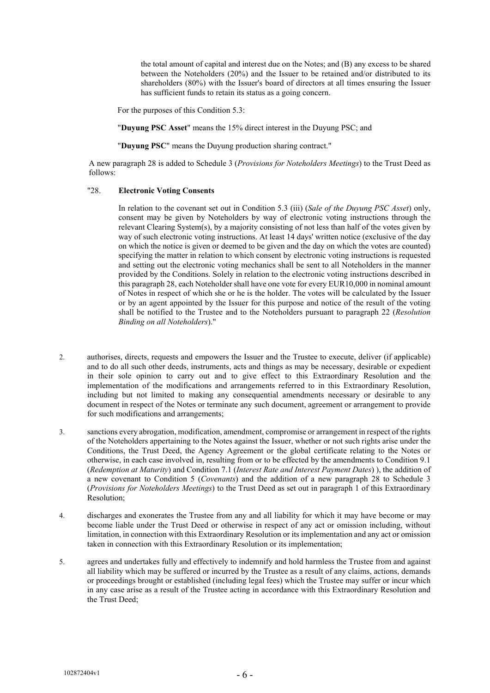the total amount of capital and interest due on the Notes; and (B) any excess to be shared between the Noteholders (20%) and the Issuer to be retained and/or distributed to its shareholders (80%) with the Issuer's board of directors at all times ensuring the Issuer has sufficient funds to retain its status as a going concern.

For the purposes of this Condition 5.3:

"**Duyung PSC Asset**" means the 15% direct interest in the Duyung PSC; and

"**Duyung PSC**" means the Duyung production sharing contract."

A new paragraph 28 is added to Schedule 3 (*Provisions for Noteholders Meetings*) to the Trust Deed as follows:

## "28. **Electronic Voting Consents**

In relation to the covenant set out in Condition 5.3 (iii) (*Sale of the Duyung PSC Asset*) only, consent may be given by Noteholders by way of electronic voting instructions through the relevant Clearing System(s), by a majority consisting of not less than half of the votes given by way of such electronic voting instructions. At least 14 days' written notice (exclusive of the day on which the notice is given or deemed to be given and the day on which the votes are counted) specifying the matter in relation to which consent by electronic voting instructions is requested and setting out the electronic voting mechanics shall be sent to all Noteholders in the manner provided by the Conditions. Solely in relation to the electronic voting instructions described in this paragraph 28, each Noteholder shall have one vote for every EUR10,000 in nominal amount of Notes in respect of which she or he is the holder. The votes will be calculated by the Issuer or by an agent appointed by the Issuer for this purpose and notice of the result of the voting shall be notified to the Trustee and to the Noteholders pursuant to paragraph 22 (*Resolution Binding on all Noteholders*)."

- 2. authorises, directs, requests and empowers the Issuer and the Trustee to execute, deliver (if applicable) and to do all such other deeds, instruments, acts and things as may be necessary, desirable or expedient in their sole opinion to carry out and to give effect to this Extraordinary Resolution and the implementation of the modifications and arrangements referred to in this Extraordinary Resolution, including but not limited to making any consequential amendments necessary or desirable to any document in respect of the Notes or terminate any such document, agreement or arrangement to provide for such modifications and arrangements;
- 3. sanctions every abrogation, modification, amendment, compromise or arrangement in respect of the rights of the Noteholders appertaining to the Notes against the Issuer, whether or not such rights arise under the Conditions, the Trust Deed, the Agency Agreement or the global certificate relating to the Notes or otherwise, in each case involved in, resulting from or to be effected by the amendments to Condition 9.1 (*Redemption at Maturity*) and Condition 7.1 (*Interest Rate and Interest Payment Dates*) ), the addition of a new covenant to Condition 5 (*Covenants*) and the addition of a new paragraph 28 to Schedule 3 (*Provisions for Noteholders Meetings*) to the Trust Deed as set out in paragraph 1 of this Extraordinary Resolution;
- 4. discharges and exonerates the Trustee from any and all liability for which it may have become or may become liable under the Trust Deed or otherwise in respect of any act or omission including, without limitation, in connection with this Extraordinary Resolution or its implementation and any act or omission taken in connection with this Extraordinary Resolution or its implementation;
- 5. agrees and undertakes fully and effectively to indemnify and hold harmless the Trustee from and against all liability which may be suffered or incurred by the Trustee as a result of any claims, actions, demands or proceedings brought or established (including legal fees) which the Trustee may suffer or incur which in any case arise as a result of the Trustee acting in accordance with this Extraordinary Resolution and the Trust Deed;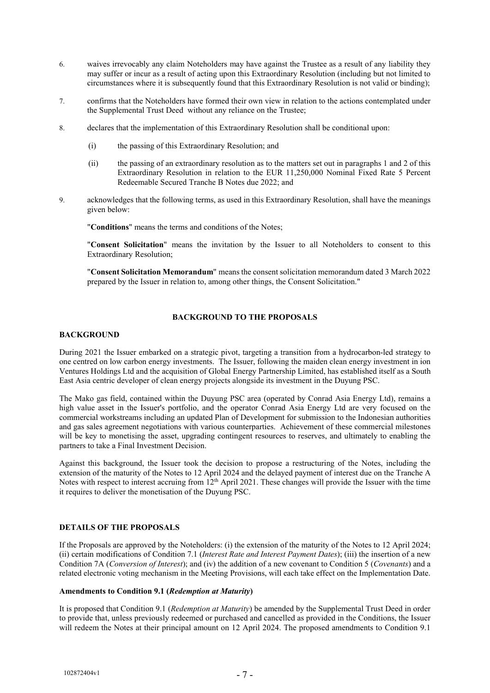- 6. waives irrevocably any claim Noteholders may have against the Trustee as a result of any liability they may suffer or incur as a result of acting upon this Extraordinary Resolution (including but not limited to circumstances where it is subsequently found that this Extraordinary Resolution is not valid or binding);
- 7. confirms that the Noteholders have formed their own view in relation to the actions contemplated under the Supplemental Trust Deed without any reliance on the Trustee;
- 8. declares that the implementation of this Extraordinary Resolution shall be conditional upon:
	- (i) the passing of this Extraordinary Resolution; and
	- (ii) the passing of an extraordinary resolution as to the matters set out in paragraphs 1 and 2 of this Extraordinary Resolution in relation to the EUR 11,250,000 Nominal Fixed Rate 5 Percent Redeemable Secured Tranche B Notes due 2022; and
- 9. acknowledges that the following terms, as used in this Extraordinary Resolution, shall have the meanings given below:

"**Conditions**" means the terms and conditions of the Notes;

"**Consent Solicitation**" means the invitation by the Issuer to all Noteholders to consent to this Extraordinary Resolution;

"**Consent Solicitation Memorandum**" means the consent solicitation memorandum dated 3 March 2022 prepared by the Issuer in relation to, among other things, the Consent Solicitation."

# **BACKGROUND TO THE PROPOSALS**

### **BACKGROUND**

During 2021 the Issuer embarked on a strategic pivot, targeting a transition from a hydrocarbon-led strategy to one centred on low carbon energy investments. The Issuer, following the maiden clean energy investment in ion Ventures Holdings Ltd and the acquisition of Global Energy Partnership Limited, has established itself as a South East Asia centric developer of clean energy projects alongside its investment in the Duyung PSC.

The Mako gas field, contained within the Duyung PSC area (operated by Conrad Asia Energy Ltd), remains a high value asset in the Issuer's portfolio, and the operator Conrad Asia Energy Ltd are very focused on the commercial workstreams including an updated Plan of Development for submission to the Indonesian authorities and gas sales agreement negotiations with various counterparties. Achievement of these commercial milestones will be key to monetising the asset, upgrading contingent resources to reserves, and ultimately to enabling the partners to take a Final Investment Decision.

Against this background, the Issuer took the decision to propose a restructuring of the Notes, including the extension of the maturity of the Notes to 12 April 2024 and the delayed payment of interest due on the Tranche A Notes with respect to interest accruing from  $12<sup>th</sup>$  April 2021. These changes will provide the Issuer with the time it requires to deliver the monetisation of the Duyung PSC.

# **DETAILS OF THE PROPOSALS**

If the Proposals are approved by the Noteholders: (i) the extension of the maturity of the Notes to 12 April 2024; (ii) certain modifications of Condition 7.1 (*Interest Rate and Interest Payment Dates*); (iii) the insertion of a new Condition 7A (*Conversion of Interest*); and (iv) the addition of a new covenant to Condition 5 (*Covenants*) and a related electronic voting mechanism in the Meeting Provisions, will each take effect on the Implementation Date.

# **Amendments to Condition 9.1 (***Redemption at Maturity***)**

It is proposed that Condition 9.1 (*Redemption at Maturity*) be amended by the Supplemental Trust Deed in order to provide that, unless previously redeemed or purchased and cancelled as provided in the Conditions, the Issuer will redeem the Notes at their principal amount on 12 April 2024. The proposed amendments to Condition 9.1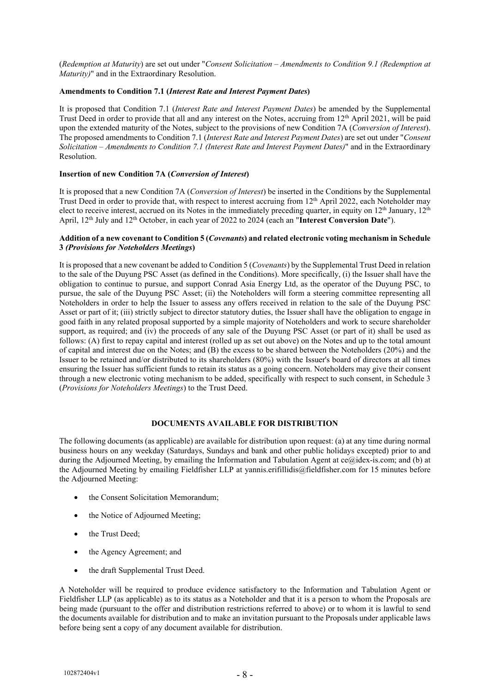(*Redemption at Maturity*) are set out under "*Consent Solicitation – Amendments to Condition 9.1 (Redemption at Maturity)*" and in the Extraordinary Resolution.

# **Amendments to Condition 7.1 (***Interest Rate and Interest Payment Dates***)**

It is proposed that Condition 7.1 (*Interest Rate and Interest Payment Dates*) be amended by the Supplemental Trust Deed in order to provide that all and any interest on the Notes, accruing from 12<sup>th</sup> April 2021, will be paid upon the extended maturity of the Notes, subject to the provisions of new Condition 7A (*Conversion of Interest*). The proposed amendments to Condition 7.1 (*Interest Rate and Interest Payment Dates*) are set out under "*Consent Solicitation – Amendments to Condition 7.1 (Interest Rate and Interest Payment Dates)*" and in the Extraordinary Resolution.

# **Insertion of new Condition 7A (***Conversion of Interest***)**

It is proposed that a new Condition 7A (*Conversion of Interest*) be inserted in the Conditions by the Supplemental Trust Deed in order to provide that, with respect to interest accruing from 12<sup>th</sup> April 2022, each Noteholder may elect to receive interest, accrued on its Notes in the immediately preceding quarter, in equity on 12<sup>th</sup> January, 12<sup>th</sup> April, 12<sup>th</sup> July and 12<sup>th</sup> October, in each year of 2022 to 2024 (each an "Interest Conversion Date").

# **Addition of a new covenant to Condition 5 (***Covenants***) and related electronic voting mechanism in Schedule 3** *(Provisions for Noteholders Meetings***)**

It is proposed that a new covenant be added to Condition 5 (*Covenants*) by the Supplemental Trust Deed in relation to the sale of the Duyung PSC Asset (as defined in the Conditions). More specifically, (i) the Issuer shall have the obligation to continue to pursue, and support Conrad Asia Energy Ltd, as the operator of the Duyung PSC, to pursue, the sale of the Duyung PSC Asset; (ii) the Noteholders will form a steering committee representing all Noteholders in order to help the Issuer to assess any offers received in relation to the sale of the Duyung PSC Asset or part of it; (iii) strictly subject to director statutory duties, the Issuer shall have the obligation to engage in good faith in any related proposal supported by a simple majority of Noteholders and work to secure shareholder support, as required; and (iv) the proceeds of any sale of the Duyung PSC Asset (or part of it) shall be used as follows: (A) first to repay capital and interest (rolled up as set out above) on the Notes and up to the total amount of capital and interest due on the Notes; and (B) the excess to be shared between the Noteholders (20%) and the Issuer to be retained and/or distributed to its shareholders (80%) with the Issuer's board of directors at all times ensuring the Issuer has sufficient funds to retain its status as a going concern. Noteholders may give their consent through a new electronic voting mechanism to be added, specifically with respect to such consent, in Schedule 3 (*Provisions for Noteholders Meetings*) to the Trust Deed.

# **DOCUMENTS AVAILABLE FOR DISTRIBUTION**

The following documents (as applicable) are available for distribution upon request: (a) at any time during normal business hours on any weekday (Saturdays, Sundays and bank and other public holidays excepted) prior to and during the Adjourned Meeting, by emailing the Information and Tabulation Agent at ce@idex-is.com; and (b) at the Adjourned Meeting by emailing Fieldfisher LLP at yannis.erifillidis@fieldfisher.com for 15 minutes before the Adjourned Meeting:

- the Consent Solicitation Memorandum;
- the Notice of Adjourned Meeting;
- the Trust Deed;
- the Agency Agreement; and
- the draft Supplemental Trust Deed.

A Noteholder will be required to produce evidence satisfactory to the Information and Tabulation Agent or Fieldfisher LLP (as applicable) as to its status as a Noteholder and that it is a person to whom the Proposals are being made (pursuant to the offer and distribution restrictions referred to above) or to whom it is lawful to send the documents available for distribution and to make an invitation pursuant to the Proposals under applicable laws before being sent a copy of any document available for distribution.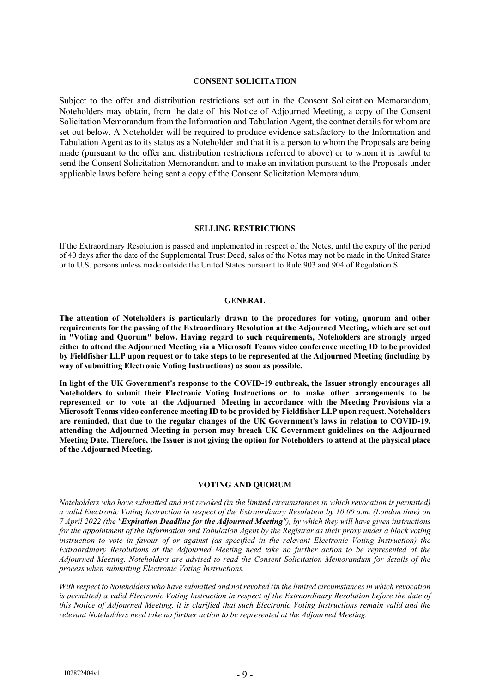## **CONSENT SOLICITATION**

Subject to the offer and distribution restrictions set out in the Consent Solicitation Memorandum, Noteholders may obtain, from the date of this Notice of Adjourned Meeting, a copy of the Consent Solicitation Memorandum from the Information and Tabulation Agent, the contact details for whom are set out below. A Noteholder will be required to produce evidence satisfactory to the Information and Tabulation Agent as to its status as a Noteholder and that it is a person to whom the Proposals are being made (pursuant to the offer and distribution restrictions referred to above) or to whom it is lawful to send the Consent Solicitation Memorandum and to make an invitation pursuant to the Proposals under applicable laws before being sent a copy of the Consent Solicitation Memorandum.

#### **SELLING RESTRICTIONS**

If the Extraordinary Resolution is passed and implemented in respect of the Notes, until the expiry of the period of 40 days after the date of the Supplemental Trust Deed, sales of the Notes may not be made in the United States or to U.S. persons unless made outside the United States pursuant to Rule 903 and 904 of Regulation S.

#### **GENERAL**

**The attention of Noteholders is particularly drawn to the procedures for voting, quorum and other requirements for the passing of the Extraordinary Resolution at the Adjourned Meeting, which are set out in "Voting and Quorum" below. Having regard to such requirements, Noteholders are strongly urged either to attend the Adjourned Meeting via a Microsoft Teams video conference meeting ID to be provided by Fieldfisher LLP upon request or to take steps to be represented at the Adjourned Meeting (including by way of submitting Electronic Voting Instructions) as soon as possible.**

**In light of the UK Government's response to the COVID-19 outbreak, the Issuer strongly encourages all Noteholders to submit their Electronic Voting Instructions or to make other arrangements to be represented or to vote at the Adjourned Meeting in accordance with the Meeting Provisions via a Microsoft Teams video conference meeting ID to be provided by Fieldfisher LLP upon request. Noteholders are reminded, that due to the regular changes of the UK Government's laws in relation to COVID-19, attending the Adjourned Meeting in person may breach UK Government guidelines on the Adjourned Meeting Date. Therefore, the Issuer is not giving the option for Noteholders to attend at the physical place of the Adjourned Meeting.** 

#### **VOTING AND QUORUM**

*Noteholders who have submitted and not revoked (in the limited circumstances in which revocation is permitted) a valid Electronic Voting Instruction in respect of the Extraordinary Resolution by 10.00 a.m. (London time) on 7 April 2022 (the "Expiration Deadline for the Adjourned Meeting"), by which they will have given instructions for the appointment of the Information and Tabulation Agent by the Registrar as their proxy under a block voting instruction to vote in favour of or against (as specified in the relevant Electronic Voting Instruction) the Extraordinary Resolutions at the Adjourned Meeting need take no further action to be represented at the Adjourned Meeting. Noteholders are advised to read the Consent Solicitation Memorandum for details of the process when submitting Electronic Voting Instructions.*

*With respect to Noteholders who have submitted and not revoked (in the limited circumstances in which revocation is permitted) a valid Electronic Voting Instruction in respect of the Extraordinary Resolution before the date of this Notice of Adjourned Meeting, it is clarified that such Electronic Voting Instructions remain valid and the relevant Noteholders need take no further action to be represented at the Adjourned Meeting.*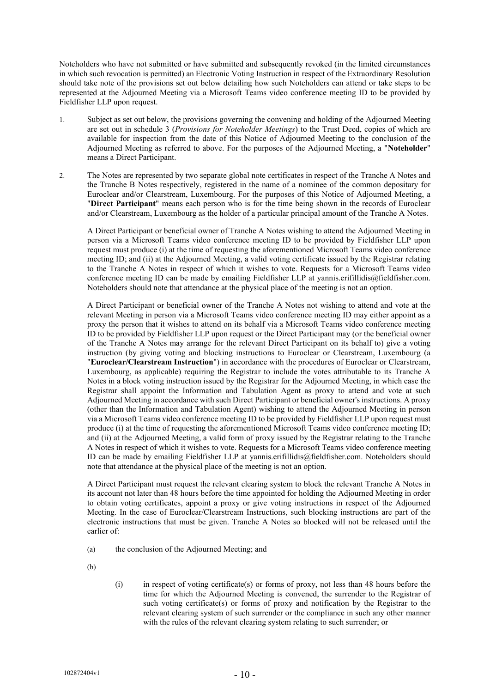Noteholders who have not submitted or have submitted and subsequently revoked (in the limited circumstances in which such revocation is permitted) an Electronic Voting Instruction in respect of the Extraordinary Resolution should take note of the provisions set out below detailing how such Noteholders can attend or take steps to be represented at the Adjourned Meeting via a Microsoft Teams video conference meeting ID to be provided by Fieldfisher LLP upon request.

- 1. Subject as set out below, the provisions governing the convening and holding of the Adjourned Meeting are set out in schedule 3 (*Provisions for Noteholder Meetings*) to the Trust Deed, copies of which are available for inspection from the date of this Notice of Adjourned Meeting to the conclusion of the Adjourned Meeting as referred to above. For the purposes of the Adjourned Meeting, a "**Noteholder**" means a Direct Participant.
- 2. The Notes are represented by two separate global note certificates in respect of the Tranche A Notes and the Tranche B Notes respectively, registered in the name of a nominee of the common depositary for Euroclear and/or Clearstream, Luxembourg. For the purposes of this Notice of Adjourned Meeting, a "**Direct Participant**" means each person who is for the time being shown in the records of Euroclear and/or Clearstream, Luxembourg as the holder of a particular principal amount of the Tranche A Notes.

A Direct Participant or beneficial owner of Tranche A Notes wishing to attend the Adjourned Meeting in person via a Microsoft Teams video conference meeting ID to be provided by Fieldfisher LLP upon request must produce (i) at the time of requesting the aforementioned Microsoft Teams video conference meeting ID; and (ii) at the Adjourned Meeting, a valid voting certificate issued by the Registrar relating to the Tranche A Notes in respect of which it wishes to vote. Requests for a Microsoft Teams video conference meeting ID can be made by emailing Fieldfisher LLP at yannis.erifillidis@fieldfisher.com. Noteholders should note that attendance at the physical place of the meeting is not an option.

A Direct Participant or beneficial owner of the Tranche A Notes not wishing to attend and vote at the relevant Meeting in person via a Microsoft Teams video conference meeting ID may either appoint as a proxy the person that it wishes to attend on its behalf via a Microsoft Teams video conference meeting ID to be provided by Fieldfisher LLP upon request or the Direct Participant may (or the beneficial owner of the Tranche A Notes may arrange for the relevant Direct Participant on its behalf to) give a voting instruction (by giving voting and blocking instructions to Euroclear or Clearstream, Luxembourg (a "**Euroclear/Clearstream Instruction**") in accordance with the procedures of Euroclear or Clearstream, Luxembourg, as applicable) requiring the Registrar to include the votes attributable to its Tranche A Notes in a block voting instruction issued by the Registrar for the Adjourned Meeting, in which case the Registrar shall appoint the Information and Tabulation Agent as proxy to attend and vote at such Adjourned Meeting in accordance with such Direct Participant or beneficial owner's instructions. A proxy (other than the Information and Tabulation Agent) wishing to attend the Adjourned Meeting in person via a Microsoft Teams video conference meeting ID to be provided by Fieldfisher LLP upon request must produce (i) at the time of requesting the aforementioned Microsoft Teams video conference meeting ID; and (ii) at the Adjourned Meeting, a valid form of proxy issued by the Registrar relating to the Tranche A Notes in respect of which it wishes to vote. Requests for a Microsoft Teams video conference meeting ID can be made by emailing Fieldfisher LLP at yannis.erifillidis@fieldfisher.com. Noteholders should note that attendance at the physical place of the meeting is not an option.

A Direct Participant must request the relevant clearing system to block the relevant Tranche A Notes in its account not later than 48 hours before the time appointed for holding the Adjourned Meeting in order to obtain voting certificates, appoint a proxy or give voting instructions in respect of the Adjourned Meeting. In the case of Euroclear/Clearstream Instructions, such blocking instructions are part of the electronic instructions that must be given. Tranche A Notes so blocked will not be released until the earlier of:

(a) the conclusion of the Adjourned Meeting; and

(b)

(i) in respect of voting certificate(s) or forms of proxy, not less than 48 hours before the time for which the Adjourned Meeting is convened, the surrender to the Registrar of such voting certificate(s) or forms of proxy and notification by the Registrar to the relevant clearing system of such surrender or the compliance in such any other manner with the rules of the relevant clearing system relating to such surrender; or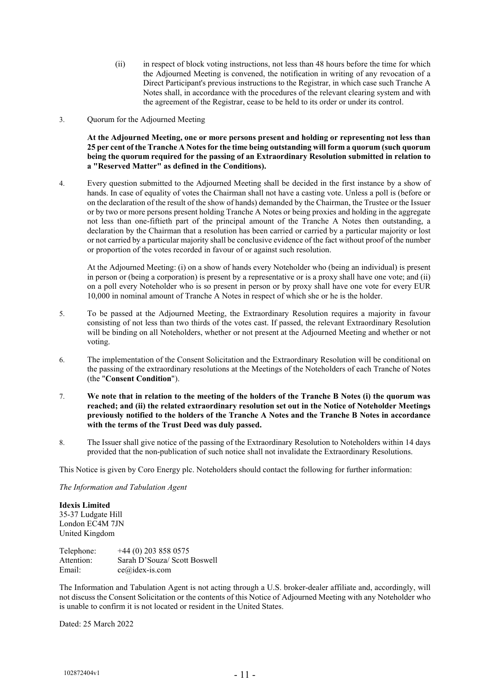- (ii) in respect of block voting instructions, not less than 48 hours before the time for which the Adjourned Meeting is convened, the notification in writing of any revocation of a Direct Participant's previous instructions to the Registrar, in which case such Tranche A Notes shall, in accordance with the procedures of the relevant clearing system and with the agreement of the Registrar, cease to be held to its order or under its control.
- 3. Quorum for the Adjourned Meeting

**At the Adjourned Meeting, one or more persons present and holding or representing not less than 25 per cent of the Tranche A Notes for the time being outstanding will form a quorum (such quorum being the quorum required for the passing of an Extraordinary Resolution submitted in relation to a "Reserved Matter" as defined in the Conditions).** 

4. Every question submitted to the Adjourned Meeting shall be decided in the first instance by a show of hands. In case of equality of votes the Chairman shall not have a casting vote. Unless a poll is (before or on the declaration of the result of the show of hands) demanded by the Chairman, the Trustee or the Issuer or by two or more persons present holding Tranche A Notes or being proxies and holding in the aggregate not less than one-fiftieth part of the principal amount of the Tranche A Notes then outstanding, a declaration by the Chairman that a resolution has been carried or carried by a particular majority or lost or not carried by a particular majority shall be conclusive evidence of the fact without proof of the number or proportion of the votes recorded in favour of or against such resolution.

At the Adjourned Meeting: (i) on a show of hands every Noteholder who (being an individual) is present in person or (being a corporation) is present by a representative or is a proxy shall have one vote; and (ii) on a poll every Noteholder who is so present in person or by proxy shall have one vote for every EUR 10,000 in nominal amount of Tranche A Notes in respect of which she or he is the holder.

- 5. To be passed at the Adjourned Meeting, the Extraordinary Resolution requires a majority in favour consisting of not less than two thirds of the votes cast. If passed, the relevant Extraordinary Resolution will be binding on all Noteholders, whether or not present at the Adjourned Meeting and whether or not voting.
- 6. The implementation of the Consent Solicitation and the Extraordinary Resolution will be conditional on the passing of the extraordinary resolutions at the Meetings of the Noteholders of each Tranche of Notes (the "**Consent Condition**").
- 7. **We note that in relation to the meeting of the holders of the Tranche B Notes (i) the quorum was reached; and (ii) the related extraordinary resolution set out in the Notice of Noteholder Meetings previously notified to the holders of the Tranche A Notes and the Tranche B Notes in accordance with the terms of the Trust Deed was duly passed.**
- 8. The Issuer shall give notice of the passing of the Extraordinary Resolution to Noteholders within 14 days provided that the non-publication of such notice shall not invalidate the Extraordinary Resolutions.

This Notice is given by Coro Energy plc. Noteholders should contact the following for further information:

*The Information and Tabulation Agent*

**Idexis Limited**  35-37 Ludgate Hill London EC4M 7JN United Kingdom

| Telephone: | $+44(0)$ 203 858 0575        |
|------------|------------------------------|
| Attention: | Sarah D'Souza/ Scott Boswell |
| Email:     | $ce@ides-is.com$             |

The Information and Tabulation Agent is not acting through a U.S. broker-dealer affiliate and, accordingly, will not discuss the Consent Solicitation or the contents of this Notice of Adjourned Meeting with any Noteholder who is unable to confirm it is not located or resident in the United States.

Dated: 25 March 2022